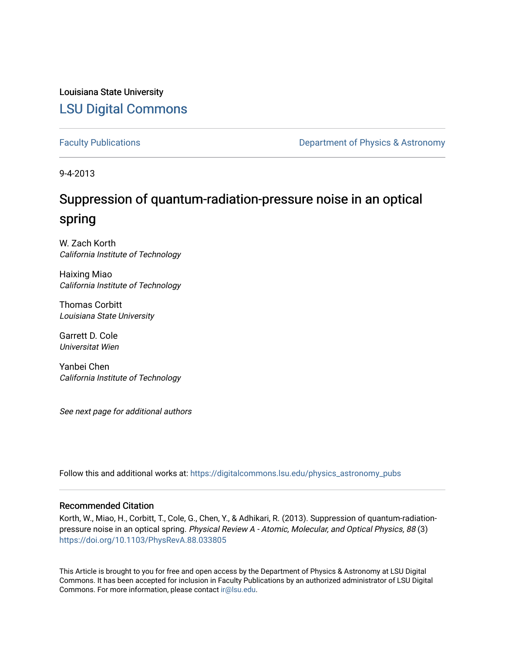Louisiana State University [LSU Digital Commons](https://digitalcommons.lsu.edu/)

[Faculty Publications](https://digitalcommons.lsu.edu/physics_astronomy_pubs) **Exercise 2 and Table 2 and Table 2 and Table 2 and Table 2 and Table 2 and Table 2 and Table 2 and Table 2 and Table 2 and Table 2 and Table 2 and Table 2 and Table 2 and Table 2 and Table 2 and Table** 

9-4-2013

# Suppression of quantum-radiation-pressure noise in an optical spring

W. Zach Korth California Institute of Technology

Haixing Miao California Institute of Technology

Thomas Corbitt Louisiana State University

Garrett D. Cole Universitat Wien

Yanbei Chen California Institute of Technology

See next page for additional authors

Follow this and additional works at: [https://digitalcommons.lsu.edu/physics\\_astronomy\\_pubs](https://digitalcommons.lsu.edu/physics_astronomy_pubs?utm_source=digitalcommons.lsu.edu%2Fphysics_astronomy_pubs%2F1126&utm_medium=PDF&utm_campaign=PDFCoverPages) 

# Recommended Citation

Korth, W., Miao, H., Corbitt, T., Cole, G., Chen, Y., & Adhikari, R. (2013). Suppression of quantum-radiationpressure noise in an optical spring. Physical Review A - Atomic, Molecular, and Optical Physics, 88 (3) <https://doi.org/10.1103/PhysRevA.88.033805>

This Article is brought to you for free and open access by the Department of Physics & Astronomy at LSU Digital Commons. It has been accepted for inclusion in Faculty Publications by an authorized administrator of LSU Digital Commons. For more information, please contact [ir@lsu.edu](mailto:ir@lsu.edu).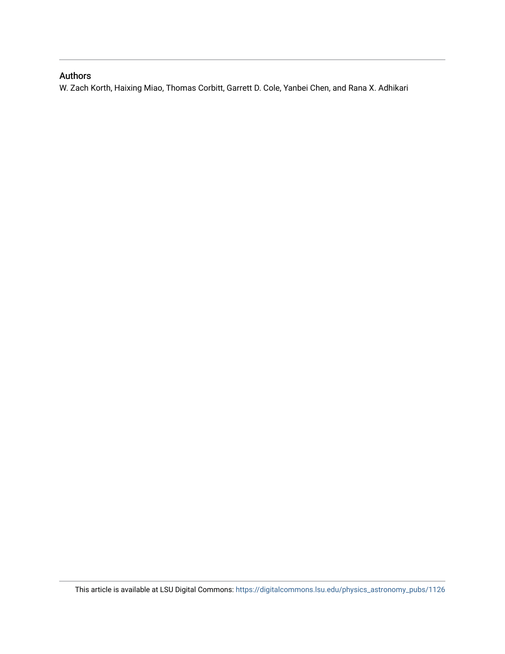# Authors

W. Zach Korth, Haixing Miao, Thomas Corbitt, Garrett D. Cole, Yanbei Chen, and Rana X. Adhikari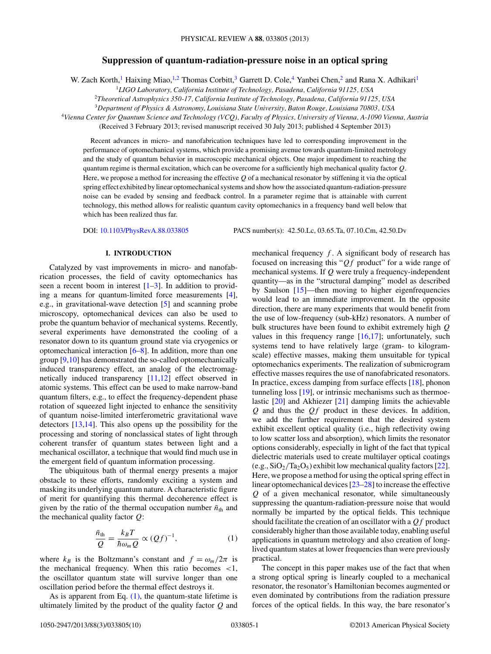# **Suppression of quantum-radiation-pressure noise in an optical spring**

W. Zach Korth,<sup>1</sup> Haixing Miao,<sup>1,2</sup> Thomas Corbitt,<sup>3</sup> Garrett D. Cole,<sup>4</sup> Yanbei Chen,<sup>2</sup> and Rana X. Adhikari<sup>1</sup>

<sup>1</sup>*LIGO Laboratory, California Institute of Technology, Pasadena, California 91125, USA*

<sup>2</sup>*Theoretical Astrophysics 350-17, California Institute of Technology, Pasadena, California 91125, USA*

<sup>3</sup>*Department of Physics & Astronomy, Louisiana State University, Baton Rouge, Louisiana 70803, USA*

<sup>4</sup>*Vienna Center for Quantum Science and Technology (VCQ), Faculty of Physics, University of Vienna, A-1090 Vienna, Austria*

(Received 3 February 2013; revised manuscript received 30 July 2013; published 4 September 2013)

Recent advances in micro- and nanofabrication techniques have led to corresponding improvement in the performance of optomechanical systems, which provide a promising avenue towards quantum-limited metrology and the study of quantum behavior in macroscopic mechanical objects. One major impediment to reaching the quantum regime is thermal excitation, which can be overcome for a sufficiently high mechanical quality factor *Q*. Here, we propose a method for increasing the effective *Q* of a mechanical resonator by stiffening it via the optical spring effect exhibited by linear optomechanical systems and show how the associated quantum-radiation-pressure noise can be evaded by sensing and feedback control. In a parameter regime that is attainable with current technology, this method allows for realistic quantum cavity optomechanics in a frequency band well below that which has been realized thus far.

DOI: [10.1103/PhysRevA.88.033805](http://dx.doi.org/10.1103/PhysRevA.88.033805) PACS number(s): 42*.*50*.*Lc, 03*.*65*.*Ta, 07*.*10*.*Cm, 42*.*50*.*Dv

### **I. INTRODUCTION**

Catalyzed by vast improvements in micro- and nanofabrication processes, the field of cavity optomechanics has seen a recent boom in interest  $[1-3]$ . In addition to providing a means for quantum-limited force measurements [\[4\]](#page-10-0), e.g., in gravitational-wave detection [\[5\]](#page-10-0) and scanning probe microscopy, optomechanical devices can also be used to probe the quantum behavior of mechanical systems. Recently, several experiments have demonstrated the cooling of a resonator down to its quantum ground state via cryogenics or optomechanical interaction [\[6–8\]](#page-10-0). In addition, more than one group [\[9,10\]](#page-10-0) has demonstrated the so-called optomechanically induced transparency effect, an analog of the electromagnetically induced transparency [\[11,12\]](#page-10-0) effect observed in atomic systems. This effect can be used to make narrow-band quantum filters, e.g., to effect the frequency-dependent phase rotation of squeezed light injected to enhance the sensitivity of quantum noise-limited interferometric gravitational wave detectors [\[13,14\]](#page-11-0). This also opens up the possibility for the processing and storing of nonclassical states of light through coherent transfer of quantum states between light and a mechanical oscillator, a technique that would find much use in the emergent field of quantum information processing.

The ubiquitous bath of thermal energy presents a major obstacle to these efforts, randomly exciting a system and masking its underlying quantum nature. A characteristic figure of merit for quantifying this thermal decoherence effect is given by the ratio of the thermal occupation number  $\bar{n}_{\text{th}}$  and the mechanical quality factor *Q*:

$$
\frac{\bar{n}_{\text{th}}}{Q} = \frac{k_B T}{\hbar \omega_m Q} \propto (Qf)^{-1},\tag{1}
$$

where  $k_B$  is the Boltzmann's constant and  $f = \omega_m/2\pi$  is the mechanical frequency. When this ratio becomes *<*1, the oscillator quantum state will survive longer than one oscillation period before the thermal effect destroys it.

As is apparent from Eq.  $(1)$ , the quantum-state lifetime is ultimately limited by the product of the quality factor *Q* and mechanical frequency  $f$ . A significant body of research has focused on increasing this "*Qf* product" for a wide range of mechanical systems. If *Q* were truly a frequency-independent quantity—as in the "structural damping" model as described by Saulson [\[15\]](#page-11-0)—then moving to higher eigenfrequencies would lead to an immediate improvement. In the opposite direction, there are many experiments that would benefit from the use of low-frequency (sub-kHz) resonators. A number of bulk structures have been found to exhibit extremely high *Q* values in this frequency range [\[16,17\]](#page-11-0); unfortunately, such systems tend to have relatively large (gram- to kilogramscale) effective masses, making them unsuitable for typical optomechanics experiments. The realization of submicrogram effective masses requires the use of nanofabricated resonators. In practice, excess damping from surface effects [\[18\]](#page-11-0), phonon tunneling loss [\[19\]](#page-11-0), or intrinsic mechanisms such as thermoelastic [\[20\]](#page-11-0) and Akhiezer [\[21\]](#page-11-0) damping limits the achievable *Q* and thus the *Qf* product in these devices. In addition, we add the further requirement that the desired system exhibit excellent optical quality (i.e., high reflectivity owing to low scatter loss and absorption), which limits the resonator options considerably, especially in light of the fact that typical dielectric materials used to create multilayer optical coatings  $(e.g., SiO<sub>2</sub>/Ta<sub>2</sub>O<sub>5</sub>)$  exhibit low mechanical quality factors [\[22\]](#page-11-0). Here, we propose a method for using the optical spring effect in linear optomechanical devices [\[23–28\]](#page-11-0) to increase the effective *Q* of a given mechanical resonator, while simultaneously suppressing the quantum-radiation-pressure noise that would normally be imparted by the optical fields. This technique should facilitate the creation of an oscillator with a *Qf* product considerably higher than those available today, enabling useful applications in quantum metrology and also creation of longlived quantum states at lower frequencies than were previously practical.

The concept in this paper makes use of the fact that when a strong optical spring is linearly coupled to a mechanical resonator, the resonator's Hamiltonian becomes augmented or even dominated by contributions from the radiation pressure forces of the optical fields. In this way, the bare resonator's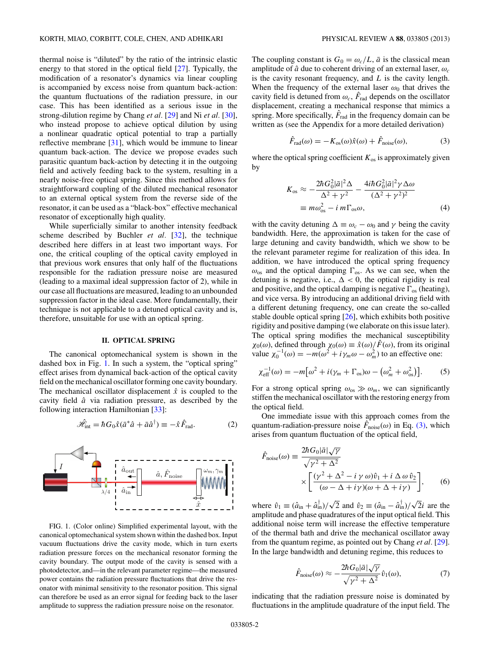<span id="page-3-0"></span>thermal noise is "diluted" by the ratio of the intrinsic elastic energy to that stored in the optical field [\[27\]](#page-11-0). Typically, the modification of a resonator's dynamics via linear coupling is accompanied by excess noise from quantum back-action: the quantum fluctuations of the radiation pressure, in our case. This has been identified as a serious issue in the strong-dilution regime by Chang *et al.* [\[29\]](#page-11-0) and Ni *et al.* [\[30\]](#page-11-0), who instead propose to achieve optical dilution by using a nonlinear quadratic optical potential to trap a partially reflective membrane  $[31]$ , which would be immune to linear quantum back-action. The device we propose evades such parasitic quantum back-action by detecting it in the outgoing field and actively feeding back to the system, resulting in a nearly noise-free optical spring. Since this method allows for straightforward coupling of the diluted mechanical resonator to an external optical system from the reverse side of the resonator, it can be used as a "black-box" effective mechanical resonator of exceptionally high quality.

While superficially similar to another intensity feedback scheme described by Buchler *et al.* [\[32\]](#page-11-0), the technique described here differs in at least two important ways. For one, the critical coupling of the optical cavity employed in that previous work ensures that only half of the fluctuations responsible for the radiation pressure noise are measured (leading to a maximal ideal suppression factor of 2), while in our case all fluctuations are measured, leading to an unbounded suppression factor in the ideal case. More fundamentally, their technique is not applicable to a detuned optical cavity and is, therefore, unsuitable for use with an optical spring.

# **II. OPTICAL SPRING**

The canonical optomechanical system is shown in the dashed box in Fig. 1. In such a system, the "optical spring" effect arises from dynamical back-action of the optical cavity field on the mechanical oscillator forming one cavity boundary. The mechanical oscillator displacement  $\hat{x}$  is coupled to the cavity field  $\hat{a}$  via radiation pressure, as described by the following interaction Hamiltonian [\[33\]](#page-11-0):

$$
\hat{\mathcal{H}}_{int} = \hbar G_0 \hat{x} (\bar{a}^* \hat{a} + \bar{a} \hat{a}^\dagger) \equiv -\hat{x} \hat{F}_{rad}.
$$
 (2)



FIG. 1. (Color online) Simplified experimental layout, with the canonical optomechanical system shown within the dashed box. Input vacuum fluctuations drive the cavity mode, which in turn exerts radiation pressure forces on the mechanical resonator forming the cavity boundary. The output mode of the cavity is sensed with a photodetector, and—in the relevant parameter regime—the measured power contains the radiation pressure fluctuations that drive the resonator with minimal sensitivity to the resonator position. This signal can therefore be used as an error signal for feeding back to the laser amplitude to suppress the radiation pressure noise on the resonator.

The coupling constant is  $G_0 = \omega_c/L$ ,  $\bar{a}$  is the classical mean amplitude of  $\hat{a}$  due to coherent driving of an external laser,  $\omega_c$ is the cavity resonant frequency, and *L* is the cavity length. When the frequency of the external laser  $\omega_0$  that drives the cavity field is detuned from  $\omega_c$ ,  $\hat{F}_{rad}$  depends on the oscillator displacement, creating a mechanical response that mimics a spring. More specifically,  $\hat{F}_{rad}$  in the frequency domain can be written as (see the Appendix for a more detailed derivation)

$$
\hat{F}_{\text{rad}}(\omega) = -K_{\text{os}}(\omega)\hat{x}(\omega) + \hat{F}_{\text{noise}}(\omega),\tag{3}
$$

where the optical spring coefficient  $K_{\text{os}}$  is approximately given by

$$
K_{\text{os}} \approx -\frac{2\hbar G_0^2 |\bar{a}|^2 \Delta}{\Delta^2 + \gamma^2} - \frac{4i\hbar G_0^2 |\bar{a}|^2 \gamma \Delta \omega}{(\Delta^2 + \gamma^2)^2}
$$
  

$$
\equiv m\omega_{\text{os}}^2 - i m \Gamma_{\text{os}} \omega,
$$
 (4)

with the cavity detuning  $\Delta \equiv \omega_c - \omega_0$  and  $\gamma$  being the cavity bandwidth. Here, the approximation is taken for the case of large detuning and cavity bandwidth, which we show to be the relevant parameter regime for realization of this idea. In addition, we have introduced the optical spring frequency  $\omega_{\rm os}$  and the optical damping  $\Gamma_{\rm os}$ . As we can see, when the detuning is negative, i.e.,  $\Delta < 0$ , the optical rigidity is real and positive, and the optical damping is negative  $\Gamma_{\rm os}$  (heating), and vice versa. By introducing an additional driving field with a different detuning frequency, one can create the so-called stable double optical spring [\[26\]](#page-11-0), which exhibits both positive rigidity and positive damping (we elaborate on this issue later). The optical spring modifies the mechanical susceptibility *χ*<sub>0</sub>(*ω*), defined through *χ*<sub>0</sub>(*ω*)  $\equiv \hat{x}$ (*ω*)/ $\hat{F}$ (*ω*), from its original value  $\chi_0^{-1}(\omega) = -m(\omega^2 + i\gamma_m\omega - \omega_m^2)$  to an effective one:

$$
\chi_{\text{eff}}^{-1}(\omega) = -m\big[\omega^2 + i(\gamma_m + \Gamma_{\text{os}})\omega - \big(\omega_m^2 + \omega_{\text{os}}^2\big)\big].\tag{5}
$$

For a strong optical spring  $\omega_{\text{os}} \gg \omega_m$ , we can significantly stiffen the mechanical oscillator with the restoring energy from the optical field.

One immediate issue with this approach comes from the quantum-radiation-pressure noise  $\hat{F}_{noise}(\omega)$  in Eq. (3), which arises from quantum fluctuation of the optical field,

$$
\hat{F}_{\text{noise}}(\omega) \equiv \frac{2\hbar G_0 |\bar{a}| \sqrt{\gamma}}{\sqrt{\gamma^2 + \Delta^2}} \times \left[ \frac{(\gamma^2 + \Delta^2 - i \gamma \omega) \hat{v}_1 + i \Delta \omega \hat{v}_2}{(\omega - \Delta + i \gamma)(\omega + \Delta + i \gamma)} \right], \quad (6)
$$

where  $\hat{v}_1 \equiv (\hat{a}_{in} + \hat{a}_{in}^{\dagger})/\sqrt{2}$  and  $\hat{v}_2 \equiv (\hat{a}_{in} - \hat{a}_{in}^{\dagger})/\sqrt{2}i$  are the amplitude and phase quadratures of the input optical field. This additional noise term will increase the effective temperature of the thermal bath and drive the mechanical oscillator away from the quantum regime, as pointed out by Chang *et al.* [\[29\]](#page-11-0). In the large bandwidth and detuning regime, this reduces to

$$
\hat{F}_{\text{noise}}(\omega) \approx -\frac{2\hbar G_0 |\bar{a}| \sqrt{\gamma}}{\sqrt{\gamma^2 + \Delta^2}} \hat{v}_1(\omega),\tag{7}
$$

indicating that the radiation pressure noise is dominated by fluctuations in the amplitude quadrature of the input field. The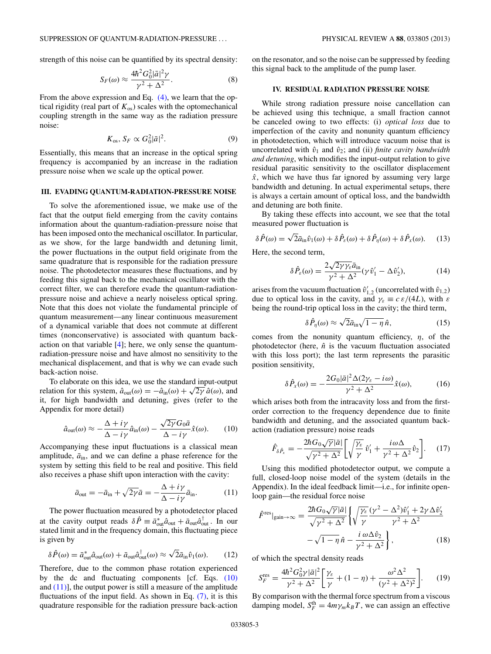<span id="page-4-0"></span>strength of this noise can be quantified by its spectral density:

$$
S_F(\omega) \approx \frac{4\hbar^2 G_0^2 |\bar{a}|^2 \gamma}{\gamma^2 + \Delta^2}.
$$
 (8)

From the above expression and Eq. [\(4\),](#page-3-0) we learn that the optical rigidity (real part of  $K_{\text{os}}$ ) scales with the optomechanical coupling strength in the same way as the radiation pressure noise:

$$
K_{\rm os}, S_F \propto G_0^2 |\bar{a}|^2. \tag{9}
$$

Essentially, this means that an increase in the optical spring frequency is accompanied by an increase in the radiation pressure noise when we scale up the optical power.

# **III. EVADING QUANTUM-RADIATION-PRESSURE NOISE**

To solve the aforementioned issue, we make use of the fact that the output field emerging from the cavity contains information about the quantum-radiation-pressure noise that has been imposed onto the mechanical oscillator. In particular, as we show, for the large bandwidth and detuning limit, the power fluctuations in the output field originate from the same quadrature that is responsible for the radiation pressure noise. The photodetector measures these fluctuations, and by feeding this signal back to the mechanical oscillator with the correct filter, we can therefore evade the quantum-radiationpressure noise and achieve a nearly noiseless optical spring. Note that this does not violate the fundamental principle of quantum measurement—any linear continuous measurement of a dynamical variable that does not commute at different times (nonconservative) is associated with quantum backaction on that variable [\[4\]](#page-10-0); here, we only sense the quantumradiation-pressure noise and have almost no sensitivity to the mechanical displacement, and that is why we can evade such back-action noise.

To elaborate on this idea, we use the standard input-output relation for this system,  $\hat{a}_{out}(\omega) = -\hat{a}_{in}(\omega) + \sqrt{2\gamma} \hat{a}(\omega)$ , and it, for high bandwidth and detuning, gives (refer to the Appendix for more detail)

$$
\hat{a}_{\text{out}}(\omega) \approx -\frac{\Delta + i\gamma}{\Delta - i\gamma} \hat{a}_{\text{in}}(\omega) - \frac{\sqrt{2\gamma} G_0 \bar{a}}{\Delta - i\gamma} \hat{x}(\omega). \tag{10}
$$

Accompanying these input fluctuations is a classical mean amplitude,  $\bar{a}_{in}$ , and we can define a phase reference for the system by setting this field to be real and positive. This field also receives a phase shift upon interaction with the cavity:

$$
\bar{a}_{\text{out}} = -\bar{a}_{\text{in}} + \sqrt{2\gamma}\bar{a} = -\frac{\Delta + i\gamma}{\Delta - i\gamma}\bar{a}_{\text{in}}.\tag{11}
$$

The power fluctuation measured by a photodetector placed at the cavity output reads  $\delta \hat{P} \equiv \bar{a}^*_{out} \hat{a}_{out} + \bar{a}_{out} \hat{a}^{\dagger}_{out}$ . In our stated limit and in the frequency domain, this fluctuating piece is given by

$$
\delta \hat{P}(\omega) = \bar{a}_{\text{out}}^* \hat{a}_{\text{out}}(\omega) + \bar{a}_{\text{out}} \hat{a}_{\text{out}}^\dagger(\omega) \approx \sqrt{2} \bar{a}_{\text{in}} \hat{v}_1(\omega). \tag{12}
$$

Therefore, due to the common phase rotation experienced by the dc and fluctuating components [cf. Eqs. (10) and  $(11)$ ], the output power is still a measure of the amplitude fluctuations of the input field. As shown in Eq. [\(7\),](#page-3-0) it is this quadrature responsible for the radiation pressure back-action on the resonator, and so the noise can be suppressed by feeding this signal back to the amplitude of the pump laser.

# **IV. RESIDUAL RADIATION PRESSURE NOISE**

While strong radiation pressure noise cancellation can be achieved using this technique, a small fraction cannot be canceled owing to two effects: (i) *optical loss* due to imperfection of the cavity and nonunity quantum efficiency in photodetection, which will introduce vacuum noise that is uncorrelated with  $\hat{v}_1$  and  $\hat{v}_2$ ; and (ii) *finite cavity bandwidth and detuning*, which modifies the input-output relation to give residual parasitic sensitivity to the oscillator displacement  $\hat{x}$ , which we have thus far ignored by assuming very large bandwidth and detuning. In actual experimental setups, there is always a certain amount of optical loss, and the bandwidth and detuning are both finite.

By taking these effects into account, we see that the total measured power fluctuation is

$$
\delta \hat{P}(\omega) = \sqrt{2}\bar{a}_{\rm in}\hat{v}_1(\omega) + \delta \hat{P}_\varepsilon(\omega) + \delta \hat{P}_\eta(\omega) + \delta \hat{P}_x(\omega). \tag{13}
$$

Here, the second term,

$$
\delta \hat{P}_{\varepsilon}(\omega) = \frac{2\sqrt{2\gamma\gamma_{\varepsilon}}\bar{a}_{\text{in}}}{\gamma^2 + \Delta^2} (\gamma \hat{v}_{1}^{\prime} - \Delta \hat{v}_{2}^{\prime}), \tag{14}
$$

arises from the vacuum fluctuation  $\hat{v}'_{1,2}$  (uncorrelated with  $\hat{v}_{1,2}$ ) due to optical loss in the cavity, and  $\gamma_{\varepsilon} \equiv c \varepsilon/(4L)$ , with *ε* being the round-trip optical loss in the cavity; the third term,

$$
\delta \hat{P}_{\eta}(\omega) \approx \sqrt{2}\bar{a}_{\rm in}\sqrt{1-\eta}\,\hat{n},\tag{15}
$$

comes from the nonunity quantum efficiency, *η*, of the photodetector (here,  $\hat{n}$  is the vacuum fluctuation associated with this loss port); the last term represents the parasitic position sensitivity,

$$
\delta \hat{P}_x(\omega) = -\frac{2G_0|\bar{a}|^2 \Delta(2\gamma_{\varepsilon} - i\omega)}{\gamma^2 + \Delta^2} \hat{x}(\omega),\tag{16}
$$

which arises both from the intracavity loss and from the firstorder correction to the frequency dependence due to finite bandwidth and detuning, and the associated quantum backaction (radiation pressure) noise reads

$$
\hat{F}_{\delta \hat{P}_x} = -\frac{2\hbar G_0 \sqrt{\gamma} |\bar{a}|}{\sqrt{\gamma^2 + \Delta^2}} \bigg[ \sqrt{\frac{\gamma_{\varepsilon}}{\gamma}} \hat{v}_1' + \frac{i \omega \Delta}{\gamma^2 + \Delta^2} \hat{v}_2 \bigg]. \quad (17)
$$

Using this modified photodetector output, we compute a full, closed-loop noise model of the system (details in the Appendix). In the ideal feedback limit—i.e., for infinite openloop gain—the residual force noise

$$
\hat{F}^{\text{res}}|_{\text{gain}\to\infty} = \frac{2\hbar G_0 \sqrt{\gamma} |\bar{a}|}{\sqrt{\gamma^2 + \Delta^2}} \left\{ \sqrt{\frac{\gamma_{\varepsilon}}{\gamma}} \frac{(\gamma^2 - \Delta^2) \hat{v}_1' + 2\gamma \Delta \hat{v}_2'}{\gamma^2 + \Delta^2} - \sqrt{1 - \eta} \hat{n} - \frac{i \omega \Delta \hat{v}_2}{\gamma^2 + \Delta^2} \right\},\tag{18}
$$

of which the spectral density reads

$$
S_F^{\text{res}} = \frac{4\hbar^2 G_0^2 \gamma |\bar{a}|^2}{\gamma^2 + \Delta^2} \left[ \frac{\gamma_{\varepsilon}}{\gamma} + (1 - \eta) + \frac{\omega^2 \Delta^2}{(\gamma^2 + \Delta^2)^2} \right].
$$
 (19)

By comparison with the thermal force spectrum from a viscous damping model,  $S_F^{\text{th}} = 4m\gamma_m k_B T$ , we can assign an effective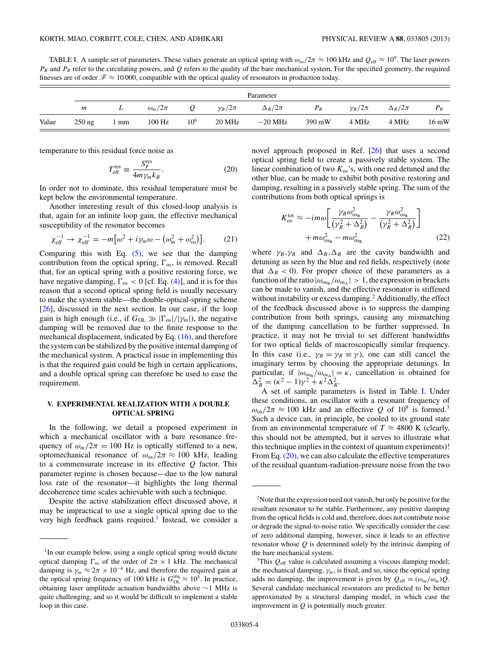TABLE I. A sample set of parameters. These values generate an optical spring with  $\omega_{\text{os}}/2\pi \approx 100 \text{ kHz}$  and  $Q_{\text{eff}} \approx 10^9$ . The laser powers  $P_B$  and  $P_R$  refer to the circulating powers, and *Q* refers to the quality of the bare mechanical system. For the specified geometry, the required finesses are of order  $\mathcal{F} \approx 10000$ , compatible with the optical quality of resonators in production today.

|       |                  | Parameter |                 |                 |                 |                 |        |                 |                 |       |  |
|-------|------------------|-----------|-----------------|-----------------|-----------------|-----------------|--------|-----------------|-----------------|-------|--|
|       | $\boldsymbol{m}$ | ∸         | $\omega_m/2\pi$ |                 | $\gamma_B/2\pi$ | $\Delta_B/2\pi$ | $P_B$  | $\gamma_R/2\pi$ | $\Delta_R/2\pi$ |       |  |
| Value | $250$ ng         | mm        | 100 Hz          | 10 <sup>6</sup> | 20 MHz          | $-20$ MHz       | 390 mW | 4 MHz           | 4 MHz           | 16 mW |  |

temperature to this residual force noise as

$$
T_{\rm eff}^{\rm res} \equiv \frac{S_F^{\rm res}}{4m\gamma_m k_B}.\tag{20}
$$

In order not to dominate, this residual temperature must be kept below the environmental temperature.

Another interesting result of this closed-loop analysis is that, again for an infinite loop gain, the effective mechanical susceptibility of the resonator becomes

$$
\chi_{\text{eff}}^{-1} \to \chi_{\text{eff}}^{-1} = -m\big[\omega^2 + i\gamma_m\omega - \big(\omega_m^2 + \omega_{\text{os}}^2\big)\big].\tag{21}
$$

Comparing this with Eq.  $(5)$ , we see that the damping contribution from the optical spring,  $\Gamma_{\text{os}}$ , is removed. Recall that, for an optical spring with a positive restoring force, we have negative damping,  $\Gamma_{\text{os}} < 0$  [cf. Eq. [\(4\)\]](#page-3-0), and it is for this reason that a second optical spring field is usually necessary to make the system stable—the double-optical-spring scheme [\[26\]](#page-11-0), discussed in the next section. In our case, if the loop gain is high enough (i.e., if  $G_{OL} \gg |\Gamma_{os}|/|\gamma_m|$ ), the negative damping will be removed due to the finite response to the mechanical displacement, indicated by Eq.  $(16)$ , and therefore the system can be stabilized by the positive internal damping of the mechanical system. A practical issue in implementing this is that the required gain could be high in certain applications, and a double optical spring can therefore be used to ease the requirement.

# **V. EXPERIMENTAL REALIZATION WITH A DOUBLE OPTICAL SPRING**

In the following, we detail a proposed experiment in which a mechanical oscillator with a bare resonance frequency of  $\omega_m/2\pi = 100$  Hz is optically stiffened to a new, optomechanical resonance of  $\omega_{\text{os}}/2\pi \approx 100$  kHz, leading to a commensurate increase in its effective *Q* factor. This parameter regime is chosen because—due to the low natural loss rate of the resonator—it highlights the long thermal decoherence time scales achievable with such a technique.

Despite the active stabilization effect discussed above, it may be impractical to use a single optical spring due to the very high feedback gains required.<sup>1</sup> Instead, we consider a

novel approach proposed in Ref. [\[26\]](#page-11-0) that uses a second optical spring field to create a passively stable system. The linear combination of two  $K_{\text{os}}$ 's, with one red detuned and the other blue, can be made to exhibit both positive restoring and damping, resulting in a passively stable spring. The sum of the contributions from both optical springs is

$$
K_{\text{os}}^{\text{tot}} \approx -im\omega \left[ \frac{\gamma_B \omega_{\text{os}_B}^2}{(\gamma_B^2 + \Delta_B^2)} - \frac{\gamma_R \omega_{\text{os}_R}^2}{(\gamma_R^2 + \Delta_R^2)} \right] + m\omega_{\text{os}_B}^2 - m\omega_{\text{os}_R}^2 \tag{22}
$$

where  $\gamma_B, \gamma_R$  and  $\Delta_B, \Delta_R$  are the cavity bandwidth and detuning as seen by the blue and red fields, respectively (note that  $\Delta_B$  < 0). For proper choice of these parameters as a function of the ratio  $|\omega_{\text{os}_{\text{B}}} / \omega_{\text{os}_{\text{A}}}| > 1$ , the expression in brackets can be made to vanish, and the effective resonator is stiffened without instability or excess damping.<sup>2</sup> Additionally, the effect of the feedback discussed above is to suppress the damping contribution from both springs, causing any mismatching of the damping cancellation to be further suppressed. In practice, it may not be trivial to set different bandwidths for two optical fields of macroscopically similar frequency. In this case (i.e.,  $\gamma_B = \gamma_R \equiv \gamma$ ), one can still cancel the imaginary terms by choosing the appropriate detunings. In particular, if  $|\omega_{\text{obs}}/\omega_{\text{os}}| = \kappa$ , cancellation is obtained for  $Δ<sup>2</sup><sub>B</sub> = (κ<sup>2</sup> – 1)γ<sup>2</sup> + κ<sup>2</sup>Δ<sup>2</sup><sub>R</sub>.$ 

A set of sample parameters is listed in Table I. Under these conditions, an oscillator with a resonant frequency of  $\omega_{\text{os}}/2\pi \approx 100$  kHz and an effective *Q* of 10<sup>9</sup> is formed.<sup>3</sup> Such a device can, in principle, be cooled to its ground state from an environmental temperature of  $T \approx 4800$  K (clearly, this should not be attempted, but it serves to illustrate what this technique implies in the context of quantum experiments)! From Eq. (20), we can also calculate the effective temperatures of the residual quantum-radiation-pressure noise from the two

<sup>&</sup>lt;sup>1</sup>In our example below, using a single optical spring would dictate optical damping  $\Gamma_{\text{os}}$  of the order of  $2\pi \times 1$  kHz. The mechanical damping is  $\gamma_m \approx 2\pi \times 10^{-4}$  Hz, and therefore the required gain at the optical spring frequency of 100 kHz is  $G_{OL}^{req} \approx 10^5$ . In practice, obtaining laser amplitude actuation bandwidths above ∼1 MHz is quite challenging, and so it would be difficult to implement a stable loop in this case.

<sup>&</sup>lt;sup>2</sup>Note that the expression need not vanish, but only be positive for the resultant resonator to be stable. Furthermore, any positive damping from the optical fields is cold and, therefore, does not contribute noise or degrade the signal-to-noise ratio. We specifically consider the case of zero additional damping, however, since it leads to an effective resonator whose *Q* is determined solely by the intrinsic damping of the bare mechanical system.

<sup>&</sup>lt;sup>3</sup>This  $Q_{\text{eff}}$  value is calculated assuming a viscous damping model; the mechanical damping,  $\gamma_m$ , is fixed, and so, since the optical spring adds no damping, the improvement is given by  $Q_{\text{eff}} = (\omega_{\text{os}}/\omega_m)Q$ . Several candidate mechanical resonators are predicted to be better approximated by a structural damping model, in which case the improvement in *Q* is potentially much greater.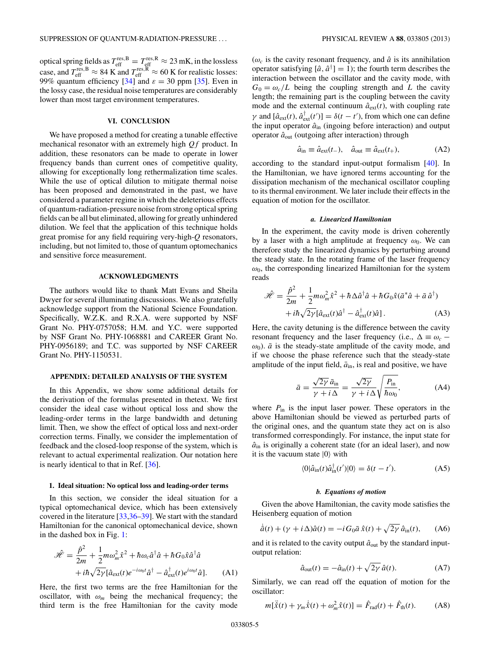optical spring fields as  $T_{\text{eff}}^{\text{res},\text{B}} = T_{\text{eff}}^{\text{res},\text{R}} \approx 23 \text{ mK}$ , in the lossless case, and  $T_{\text{eff}}^{\text{res}, \text{B}} \approx 84 \text{ K}$  and  $T_{\text{eff}}^{\text{res}, \text{R}} \approx 60 \text{ K}$  for realistic losses: 99% quantum efficiency [\[34\]](#page-11-0) and  $\varepsilon = 30$  ppm [\[35\]](#page-11-0). Even in the lossy case, the residual noise temperatures are considerably lower than most target environment temperatures.

# **VI. CONCLUSION**

We have proposed a method for creating a tunable effective mechanical resonator with an extremely high *Qf* product. In addition, these resonators can be made to operate in lower frequency bands than current ones of competitive quality, allowing for exceptionally long rethermalization time scales. While the use of optical dilution to mitigate thermal noise has been proposed and demonstrated in the past, we have considered a parameter regime in which the deleterious effects of quantum-radiation-pressure noise from strong optical spring fields can be all but eliminated, allowing for greatly unhindered dilution. We feel that the application of this technique holds great promise for any field requiring very-high-*Q* resonators, including, but not limited to, those of quantum optomechanics and sensitive force measurement.

# **ACKNOWLEDGMENTS**

The authors would like to thank Matt Evans and Sheila Dwyer for several illuminating discussions. We also gratefully acknowledge support from the National Science Foundation. Specifically, W.Z.K. and R.X.A. were supported by NSF Grant No. PHY-0757058; H.M. and Y.C. were supported by NSF Grant No. PHY-1068881 and CAREER Grant No. PHY-0956189; and T.C. was supported by NSF CAREER Grant No. PHY-1150531.

# **APPENDIX: DETAILED ANALYSIS OF THE SYSTEM**

In this Appendix, we show some additional details for the derivation of the formulas presented in thetext. We first consider the ideal case without optical loss and show the leading-order terms in the large bandwidth and detuning limit. Then, we show the effect of optical loss and next-order correction terms. Finally, we consider the implementation of feedback and the closed-loop response of the system, which is relevant to actual experimental realization. Our notation here is nearly identical to that in Ref. [\[36\]](#page-11-0).

#### **1. Ideal situation: No optical loss and leading-order terms**

In this section, we consider the ideal situation for a typical optomechanical device, which has been extensively covered in the literature [\[33,36–39\]](#page-11-0). We start with the standard Hamiltonian for the canonical optomechanical device, shown in the dashed box in Fig. [1:](#page-3-0)

$$
\hat{\mathcal{H}} = \frac{\hat{p}^2}{2m} + \frac{1}{2}m\omega_m^2 \hat{x}^2 + \hbar\omega_c \hat{a}^\dagger \hat{a} + \hbar G_0 \hat{x} \hat{a}^\dagger \hat{a} \n+ i\hbar\sqrt{2\gamma} [\hat{a}_{ext}(t)e^{-i\omega_0 t} \hat{a}^\dagger - \hat{a}_{ext}^\dagger(t)e^{i\omega_0 t} \hat{a}].
$$
\n(A1)

Here, the first two terms are the free Hamiltonian for the oscillator, with  $\omega_m$  being the mechanical frequency; the third term is the free Hamiltonian for the cavity mode ( $\omega_c$  is the cavity resonant frequency, and  $\hat{a}$  is its annihilation operator satisfying  $[\hat{a}, \hat{a}^{\dagger}] = 1$ ; the fourth term describes the interaction between the oscillator and the cavity mode, with  $G_0 = \omega_c/L$  being the coupling strength and *L* the cavity length; the remaining part is the coupling between the cavity mode and the external continuum  $\hat{a}_{ext}(t)$ , with coupling rate *γ* and  $[\hat{a}_{ext}(t), \hat{a}_{ext}^{\dagger}(t')] = \delta(t - t')$ , from which one can define the input operator  $\hat{a}_{in}$  (ingoing before interaction) and output operator  $\hat{a}_{out}$  (outgoing after interaction) through

$$
\hat{a}_{\text{in}} \equiv \hat{a}_{\text{ext}}(t_{-}), \quad \hat{a}_{\text{out}} \equiv \hat{a}_{\text{ext}}(t_{+}), \tag{A2}
$$

according to the standard input-output formalism [\[40\]](#page-11-0). In the Hamiltonian, we have ignored terms accounting for the dissipation mechanism of the mechanical oscillator coupling to its thermal environment. We later include their effects in the equation of motion for the oscillator.

#### *a. Linearized Hamiltonian*

In the experiment, the cavity mode is driven coherently by a laser with a high amplitude at frequency *ω*0. We can therefore study the linearized dynamics by perturbing around the steady state. In the rotating frame of the laser frequency  $\omega_0$ , the corresponding linearized Hamiltonian for the system reads

$$
\hat{\mathcal{H}} = \frac{\hat{p}^2}{2m} + \frac{1}{2}m\omega_m^2 \hat{x}^2 + \hbar\Delta \hat{a}^\dagger \hat{a} + \hbar G_0 \hat{x} (\bar{a}^* \hat{a} + \bar{a} \hat{a}^\dagger) + i\hbar\sqrt{2\gamma} [\hat{a}_{\text{ext}}(t)\hat{a}^\dagger - \hat{a}_{\text{ext}}^\dagger(t)\hat{a}].
$$
 (A3)

Here, the cavity detuning is the difference between the cavity resonant frequency and the laser frequency (i.e.,  $\Delta \equiv \omega_c$  −  $\omega_0$ ).  $\bar{a}$  is the steady-state amplitude of the cavity mode, and if we choose the phase reference such that the steady-state amplitude of the input field,  $\bar{a}_{in}$ , is real and positive, we have

$$
\bar{a} = \frac{\sqrt{2\gamma}}{\gamma + i\,\Delta} = \frac{\sqrt{2\gamma}}{\gamma + i\,\Delta} \sqrt{\frac{P_{\text{in}}}{\hbar \omega_0}},\tag{A4}
$$

where  $P_{\text{in}}$  is the input laser power. These operators in the above Hamiltonian should be viewed as perturbed parts of the original ones, and the quantum state they act on is also transformed correspondingly. For instance, the input state for  $\hat{a}_{in}$  is originally a coherent state (for an ideal laser), and now it is the vacuum state  $|0\rangle$  with

$$
\langle 0|\hat{a}_{\text{in}}(t)\hat{a}_{\text{in}}^{\dagger}(t')|0\rangle = \delta(t - t'). \tag{A5}
$$

#### *b. Equations of motion*

Given the above Hamiltonian, the cavity mode satisfies the Heisenberg equation of motion

$$
\dot{\hat{a}}(t) + (\gamma + i \Delta)\hat{a}(t) = -i G_0 \bar{a} \,\hat{x}(t) + \sqrt{2\gamma} \,\hat{a}_{\rm in}(t), \qquad (A6)
$$

and it is related to the cavity output  $\hat{a}_{\text{out}}$  by the standard inputoutput relation:

$$
\hat{a}_{\text{out}}(t) = -\hat{a}_{\text{in}}(t) + \sqrt{2\gamma} \,\hat{a}(t). \tag{A7}
$$

Similarly, we can read off the equation of motion for the oscillator:

$$
m[\ddot{\hat{x}}(t) + \gamma_m \dot{\hat{x}}(t) + \omega_m^2 \hat{x}(t)] = \hat{F}_{\text{rad}}(t) + \hat{F}_{\text{th}}(t). \tag{A8}
$$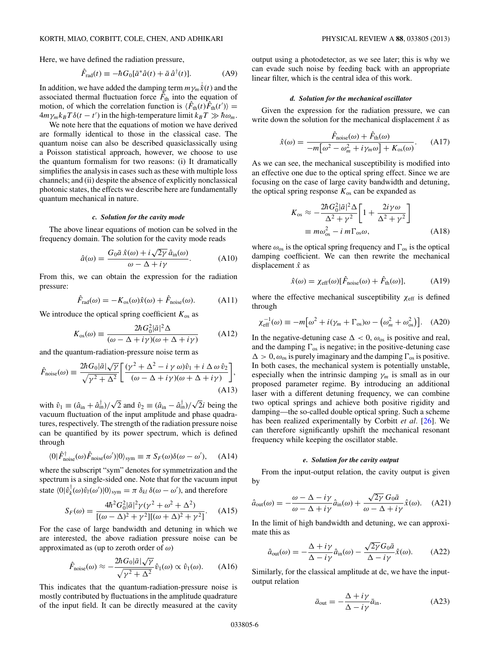<span id="page-7-0"></span>Here, we have defined the radiation pressure,

$$
\hat{F}_{\text{rad}}(t) \equiv -\hbar G_0 [\bar{a}^* \hat{a}(t) + \bar{a} \,\hat{a}^\dagger(t)]. \tag{A9}
$$

In addition, we have added the damping term  $m\gamma_m \dot{\hat{x}}(t)$  and the associated thermal fluctuation force  $\tilde{F}_{\text{th}}$  into the equation of motion, of which the correlation function is  $\langle \hat{F}_{\text{th}}(t) \hat{F}_{\text{th}}(t') \rangle =$  $4m\gamma_m k_B T \delta(t-t')$  in the high-temperature limit  $k_B T \gg \hbar \omega_m$ .

We note here that the equations of motion we have derived are formally identical to those in the classical case. The quantum noise can also be described quasiclassically using a Poisson statistical approach, however, we choose to use the quantum formalism for two reasons: (i) It dramatically simplifies the analysis in cases such as these with multiple loss channels; and (ii) despite the absence of explicitly nonclassical photonic states, the effects we describe here are fundamentally quantum mechanical in nature.

#### *c. Solution for the cavity mode*

The above linear equations of motion can be solved in the frequency domain. The solution for the cavity mode reads

$$
\hat{a}(\omega) = \frac{G_0 \bar{a} \,\hat{x}(\omega) + i \sqrt{2\gamma} \,\hat{a}_{\text{in}}(\omega)}{\omega - \Delta + i \gamma}.
$$
 (A10)

From this, we can obtain the expression for the radiation pressure:

$$
\hat{F}_{\text{rad}}(\omega) = -K_{\text{os}}(\omega)\hat{x}(\omega) + \hat{F}_{\text{noise}}(\omega). \tag{A11}
$$

We introduce the optical spring coefficient  $K_{\text{os}}$  as

$$
K_{\text{os}}(\omega) \equiv \frac{2\hbar G_0^2 |\bar{a}|^2 \Delta}{(\omega - \Delta + i\gamma)(\omega + \Delta + i\gamma)}
$$
(A12)

and the quantum-radiation-pressure noise term as

$$
\hat{F}_{\text{noise}}(\omega) \equiv \frac{2\hbar G_0 |\bar{a}| \sqrt{\gamma}}{\sqrt{\gamma^2 + \Delta^2}} \bigg[ \frac{(\gamma^2 + \Delta^2 - i \gamma \omega) \hat{v}_1 + i \Delta \omega \hat{v}_2}{(\omega - \Delta + i \gamma)(\omega + \Delta + i \gamma)} \bigg],\tag{A13}
$$

with  $\hat{v}_1 \equiv (\hat{a}_{in} + \hat{a}_{in}^{\dagger})/\sqrt{2}$  and  $\hat{v}_2 \equiv (\hat{a}_{in} - \hat{a}_{in}^{\dagger})/\sqrt{2}i$  being the vacuum fluctuation of the input amplitude and phase quadratures, respectively. The strength of the radiation pressure noise can be quantified by its power spectrum, which is defined through

$$
\langle 0|\hat{F}_{\text{noise}}^{\dagger}(\omega)\hat{F}_{\text{noise}}(\omega')|0\rangle_{\text{sym}} \equiv \pi \ S_F(\omega)\delta(\omega-\omega'), \quad \text{(A14)}
$$

where the subscript "sym" denotes for symmetrization and the spectrum is a single-sided one. Note that for the vacuum input state  $\langle 0 | \hat{v}_k^{\dagger}(\omega) \hat{v}_l(\omega') | 0 \rangle_{sym} = \pi \delta_{kl} \delta(\omega - \omega')$ , and therefore

$$
S_F(\omega) = \frac{4\hbar^2 G_0^2 |\bar{a}|^2 \gamma (\gamma^2 + \omega^2 + \Delta^2)}{[(\omega - \Delta)^2 + \gamma^2][( \omega + \Delta)^2 + \gamma^2]}.
$$
 (A15)

For the case of large bandwidth and detuning in which we are interested, the above radiation pressure noise can be approximated as (up to zeroth order of *ω*)

$$
\hat{F}_{\text{noise}}(\omega) \approx -\frac{2\hbar G_0 |\bar{a}| \sqrt{\gamma}}{\sqrt{\gamma^2 + \Delta^2}} \hat{v}_1(\omega) \propto \hat{v}_1(\omega). \tag{A16}
$$

This indicates that the quantum-radiation-pressure noise is mostly contributed by fluctuations in the amplitude quadrature of the input field. It can be directly measured at the cavity

output using a photodetector, as we see later; this is why we can evade such noise by feeding back with an appropriate linear filter, which is the central idea of this work.

#### *d. Solution for the mechanical oscillator*

Given the expression for the radiation pressure, we can write down the solution for the mechanical displacement  $\hat{x}$  as

$$
\hat{x}(\omega) = \frac{\hat{F}_{\text{noise}}(\omega) + \hat{F}_{\text{th}}(\omega)}{-m[\omega^2 - \omega_m^2 + i\gamma_m\omega] + K_{\text{os}}(\omega)}.
$$
 (A17)

As we can see, the mechanical susceptibility is modified into an effective one due to the optical spring effect. Since we are focusing on the case of large cavity bandwidth and detuning, the optical spring response  $K_{\text{os}}$  can be expanded as

$$
K_{\text{os}} \approx -\frac{2\hbar G_0^2 |\bar{a}|^2 \Delta}{\Delta^2 + \gamma^2} \left[ 1 + \frac{2i\gamma \omega}{\Delta^2 + \gamma^2} \right]
$$
  

$$
\equiv m\omega_{\text{os}}^2 - i m \Gamma_{\text{os}} \omega,
$$
 (A18)

where  $\omega_{\text{os}}$  is the optical spring frequency and  $\Gamma_{\text{os}}$  is the optical damping coefficient. We can then rewrite the mechanical displacement *x*ˆ as

$$
\hat{x}(\omega) = \chi_{\text{eff}}(\omega)[\hat{F}_{\text{noise}}(\omega) + \hat{F}_{\text{th}}(\omega)],\tag{A19}
$$

where the effective mechanical susceptibility  $\chi_{\text{eff}}$  is defined through

$$
\chi_{\text{eff}}^{-1}(\omega) \equiv -m\big[\omega^2 + i(\gamma_m + \Gamma_{\text{os}})\omega - (\omega_m^2 + \omega_{\text{os}}^2)\big]. \quad \text{(A20)}
$$

In the negative-detuning case  $\Delta < 0$ ,  $\omega_{\text{os}}$  is positive and real, and the damping  $\Gamma_{\text{os}}$  is negative; in the positive-detuning case  $\Delta > 0$ ,  $\omega_{\text{os}}$  is purely imaginary and the damping  $\Gamma_{\text{os}}$  is positive. In both cases, the mechanical system is potentially unstable, especially when the intrinsic damping  $\gamma_m$  is small as in our proposed parameter regime. By introducing an additional laser with a different detuning frequency, we can combine two optical springs and achieve both positive rigidity and damping—the so-called double optical spring. Such a scheme has been realized experimentally by Corbitt *et al.* [\[26\]](#page-11-0). We can therefore significantly upshift the mechanical resonant frequency while keeping the oscillator stable.

#### *e. Solution for the cavity output*

From the input-output relation, the cavity output is given by

$$
\hat{a}_{\text{out}}(\omega) = -\frac{\omega - \Delta - i\gamma}{\omega - \Delta + i\gamma} \hat{a}_{\text{in}}(\omega) + \frac{\sqrt{2\gamma} G_0 \bar{a}}{\omega - \Delta + i\gamma} \hat{x}(\omega). \quad (A21)
$$

In the limit of high bandwidth and detuning, we can approximate this as

$$
\hat{a}_{\text{out}}(\omega) = -\frac{\Delta + i\gamma}{\Delta - i\gamma} \hat{a}_{\text{in}}(\omega) - \frac{\sqrt{2\gamma} G_0 \bar{a}}{\Delta - i\gamma} \hat{x}(\omega). \tag{A22}
$$

Similarly, for the classical amplitude at dc, we have the inputoutput relation

$$
\bar{a}_{\text{out}} = -\frac{\Delta + i\gamma}{\Delta - i\gamma}\bar{a}_{\text{in}}.\tag{A23}
$$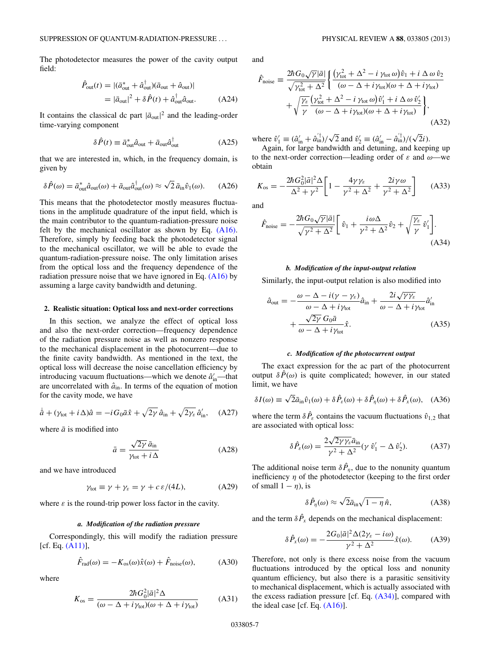<span id="page-8-0"></span>The photodetector measures the power of the cavity output field:

$$
\hat{P}_{\text{out}}(t) = |(\bar{a}_{\text{out}}^* + \hat{a}_{\text{out}}^\dagger)(\bar{a}_{\text{out}} + \hat{a}_{\text{out}})|
$$
\n
$$
= |\bar{a}_{\text{out}}|^2 + \delta \hat{P}(t) + \hat{a}_{\text{out}}^\dagger \hat{a}_{\text{out}}.
$$
\n(A24)

It contains the classical dc part  $|\bar{a}_{\text{out}}|^2$  and the leading-order time-varying component

$$
\delta \hat{P}(t) \equiv \bar{a}_{\text{out}}^* \hat{a}_{\text{out}} + \bar{a}_{\text{out}} \hat{a}_{\text{out}}^\dagger \tag{A25}
$$

that we are interested in, which, in the frequency domain, is given by

$$
\delta \hat{P}(\omega) = \bar{a}_{\text{out}}^* \hat{a}_{\text{out}}(\omega) + \bar{a}_{\text{out}} \hat{a}_{\text{out}}^\dagger(\omega) \approx \sqrt{2} \,\bar{a}_{\text{in}} \hat{v}_1(\omega). \tag{A26}
$$

This means that the photodetector mostly measures fluctuations in the amplitude quadrature of the input field, which is the main contributor to the quantum-radiation-pressure noise felt by the mechanical oscillator as shown by Eq. [\(A16\).](#page-7-0) Therefore, simply by feeding back the photodetector signal to the mechanical oscillator, we will be able to evade the quantum-radiation-pressure noise. The only limitation arises from the optical loss and the frequency dependence of the radiation pressure noise that we have ignored in Eq. [\(A16\)](#page-7-0) by assuming a large cavity bandwidth and detuning.

#### **2. Realistic situation: Optical loss and next-order corrections**

In this section, we analyze the effect of optical loss and also the next-order correction—frequency dependence of the radiation pressure noise as well as nonzero response to the mechanical displacement in the photocurrent—due to the finite cavity bandwidth. As mentioned in the text, the optical loss will decrease the noise cancellation efficiency by introducing vacuum fluctuations—which we denote  $\hat{a}'_{in}$ —that are uncorrelated with  $\hat{a}_{in}$ . In terms of the equation of motion for the cavity mode, we have

$$
\dot{\hat{a}} + (\gamma_{\text{tot}} + i\,\Delta)\hat{a} = -i\,G_0\bar{a}\hat{x} + \sqrt{2\gamma}\,\hat{a}_{\text{in}} + \sqrt{2\gamma_{\varepsilon}}\,\hat{a}'_{\text{in}},\quad\text{(A27)}
$$

where  $\bar{a}$  is modified into

$$
\bar{a} = \frac{\sqrt{2\gamma} \,\bar{a}_{\rm in}}{\gamma_{\rm tot} + i\,\Delta} \tag{A28}
$$

and we have introduced

$$
\gamma_{\text{tot}} \equiv \gamma + \gamma_{\varepsilon} = \gamma + c \,\varepsilon/(4L), \tag{A29}
$$

where  $\varepsilon$  is the round-trip power loss factor in the cavity.

# *a. Modification of the radiation pressure*

Correspondingly, this will modify the radiation pressure  $[cf. Eq. (A11)],$  $[cf. Eq. (A11)],$  $[cf. Eq. (A11)],$ 

$$
\hat{F}_{\text{rad}}(\omega) = -K_{\text{os}}(\omega)\hat{x}(\omega) + \hat{F}_{\text{noise}}(\omega),\tag{A30}
$$

where

$$
K_{\text{os}} = \frac{2\hbar G_0^2 |\bar{a}|^2 \Delta}{(\omega - \Delta + i\gamma_{\text{tot}})(\omega + \Delta + i\gamma_{\text{tot}})} \tag{A31}
$$

and

$$
\hat{F}_{\text{noise}} = \frac{2\hbar G_0 \sqrt{\gamma} |\bar{a}|}{\sqrt{\gamma_{\text{tot}}^2 + \Delta^2}} \left\{ \frac{(\gamma_{\text{tot}}^2 + \Delta^2 - i \gamma_{\text{tot}} \omega) \hat{v}_1 + i \Delta \omega \hat{v}_2}{(\omega - \Delta + i \gamma_{\text{tot}})(\omega + \Delta + i \gamma_{\text{tot}})} + \sqrt{\frac{\gamma_{\varepsilon}}{\gamma} \left(\gamma_{\text{tot}}^2 + \Delta^2 - i \gamma_{\text{tot}} \omega\right) \hat{v}_1' + i \Delta \omega \hat{v}_2'}{(\omega - \Delta + i \gamma_{\text{tot}})(\omega + \Delta + i \gamma_{\text{tot}})} \right\},\tag{A32}
$$

where  $\hat{v}'_1 \equiv (\hat{a}'_{in} + \hat{a}'_{in})/\sqrt{2}$  and  $\hat{v}'_2 \equiv (\hat{a}'_{in} - \hat{a}'_{in})/(\sqrt{2}i)$ .

Again, for large bandwidth and detuning, and keeping up to the next-order correction—leading order of *ε* and *ω*—we obtain

$$
K_{\text{os}} = -\frac{2\hbar G_0^2 |\bar{a}|^2 \Delta}{\Delta^2 + \gamma^2} \left[ 1 - \frac{4\gamma \gamma_{\varepsilon}}{\gamma^2 + \Delta^2} + \frac{2i\gamma \omega}{\gamma^2 + \Delta^2} \right] \tag{A33}
$$

and

$$
\hat{F}_{\text{noise}} = -\frac{2\hbar G_0 \sqrt{\gamma} |\bar{a}|}{\sqrt{\gamma^2 + \Delta^2}} \left[ \hat{v}_1 + \frac{i\omega \Delta}{\gamma^2 + \Delta^2} \hat{v}_2 + \sqrt{\frac{\gamma_{\varepsilon}}{\gamma}} \hat{v}_1' \right].
$$
\n(A34)

#### *b. Modification of the input-output relation*

Similarly, the input-output relation is also modified into

$$
\hat{a}_{\text{out}} = -\frac{\omega - \Delta - i(\gamma - \gamma_{\varepsilon})}{\omega - \Delta + i\gamma_{\text{tot}}} \hat{a}_{\text{in}} + \frac{2i\sqrt{\gamma\gamma_{\varepsilon}}}{\omega - \Delta + i\gamma_{\text{tot}}} \hat{a}'_{\text{in}} + \frac{\sqrt{2\gamma} G_0 \bar{a}}{\omega - \Delta + i\gamma_{\text{tot}}} \hat{x}.
$$
\n(A35)

# *c. Modification of the photocurrent output*

The exact expression for the ac part of the photocurrent output  $\delta \hat{P}(\omega)$  is quite complicated; however, in our stated limit, we have

$$
\delta I(\omega) \equiv \sqrt{2}\bar{a}_{\rm in}\hat{v}_1(\omega) + \delta \hat{P}_{\varepsilon}(\omega) + \delta \hat{P}_{\eta}(\omega) + \delta \hat{P}_{\chi}(\omega), \quad (A36)
$$

where the term  $\delta \hat{P}_{\varepsilon}$  contains the vacuum fluctuations  $\hat{v}_{1,2}$  that are associated with optical loss:

$$
\delta \hat{P}_{\varepsilon}(\omega) = \frac{2\sqrt{2\gamma\gamma_{\varepsilon}}\bar{a}_{\text{in}}}{\gamma^2 + \Delta^2} (\gamma \hat{v}_{1}^{\prime} - \Delta \hat{v}_{2}^{\prime}). \tag{A37}
$$

The additional noise term  $\delta \hat{P}_{\eta}$ , due to the nonunity quantum inefficiency *η* of the photodetector (keeping to the first order of small  $1 - \eta$ ), is

$$
\delta \hat{P}_{\eta}(\omega) \approx \sqrt{2}\bar{a}_{\rm in}\sqrt{1-\eta}\,\hat{n},\tag{A38}
$$

and the term  $\delta \hat{P}_x$  depends on the mechanical displacement:

$$
\delta \hat{P}_x(\omega) = -\frac{2G_0|\bar{a}|^2 \Delta(2\gamma_{\varepsilon} - i\omega)}{\gamma^2 + \Delta^2} \hat{x}(\omega). \tag{A39}
$$

Therefore, not only is there excess noise from the vacuum fluctuations introduced by the optical loss and nonunity quantum efficiency, but also there is a parasitic sensitivity to mechanical displacement, which is actually associated with the excess radiation pressure [cf. Eq. (A34)], compared with the ideal case [cf. Eq.  $(A16)$ ].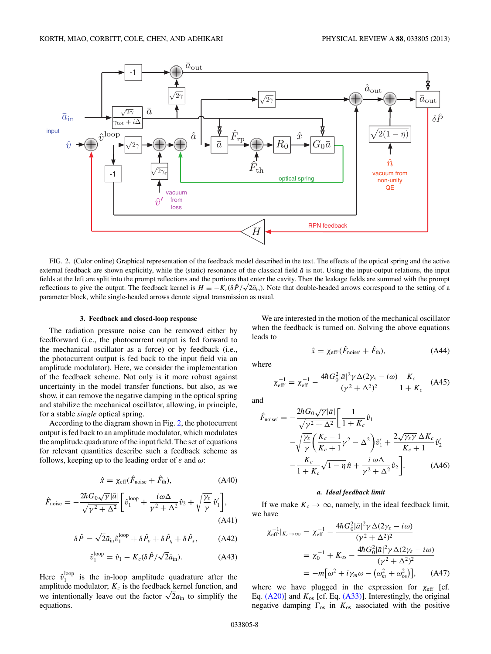

FIG. 2. (Color online) Graphical representation of the feedback model described in the text. The effects of the optical spring and the active external feedback are shown explicitly, while the (static) resonance of the classical field  $\bar{a}$  is not. Using the input-output relations, the input fields at the left are split into the prompt reflections and the portions that enter the cavity. Then the leakage fields are summed with the prompt reflections to give the output. The feedback kernel is  $H = -K_c(\delta \hat{P}/\sqrt{2}\bar{a}_{\rm in})$ . Note that double-headed arrows correspond to the setting of a parameter block, while single-headed arrows denote signal transmission as usual.

## **3. Feedback and closed-loop response**

The radiation pressure noise can be removed either by feedforward (i.e., the photocurrent output is fed forward to the mechanical oscillator as a force) or by feedback (i.e., the photocurrent output is fed back to the input field via an amplitude modulator). Here, we consider the implementation of the feedback scheme. Not only is it more robust against uncertainty in the model transfer functions, but also, as we show, it can remove the negative damping in the optical spring and stabilize the mechanical oscillator, allowing, in principle, for a stable *single* optical spring.

According to the diagram shown in Fig. 2, the photocurrent output is fed back to an amplitude modulator, which modulates the amplitude quadrature of the input field. The set of equations for relevant quantities describe such a feedback scheme as follows, keeping up to the leading order of *ε* and *ω*:

$$
\hat{x} = \chi_{\rm eff}(\hat{F}_{\rm noise} + \hat{F}_{\rm th}),\tag{A40}
$$

$$
\hat{F}_{\text{noise}} = -\frac{2\hbar G_0 \sqrt{\gamma} |\bar{a}|}{\sqrt{\gamma^2 + \Delta^2}} \left[ \hat{v}_1^{\text{loop}} + \frac{i\omega \Delta}{\gamma^2 + \Delta^2} \hat{v}_2 + \sqrt{\frac{\gamma_{\varepsilon}}{\gamma}} \hat{v}_1' \right],\tag{A41}
$$

$$
\delta \hat{P} = \sqrt{2}\bar{a}_{\rm in} \hat{v}_1^{\rm loop} + \delta \hat{P}_\varepsilon + \delta \hat{P}_\eta + \delta \hat{P}_x, \tag{A42}
$$

$$
\hat{v}_1^{\text{loop}} = \hat{v}_1 - K_c(\delta \hat{P}/\sqrt{2}\bar{a}_{\text{in}}). \tag{A43}
$$

Here  $\hat{v}_1^{\text{loop}}$  is the in-loop amplitude quadrature after the amplitude modulator;  $K_c$  is the feedback kernel function, and we intentionally leave out the factor  $\sqrt{2} \bar{a}_{in}$  to simplify the equations.

We are interested in the motion of the mechanical oscillator when the feedback is turned on. Solving the above equations leads to

$$
\hat{x} = \chi_{\text{eff}'}(\hat{F}_{\text{noise}'} + \hat{F}_{\text{th}}),\tag{A44}
$$

where

$$
\chi_{\text{eff'}}^{-1} = \chi_{\text{eff}}^{-1} - \frac{4\hbar G_0^2 |\bar{a}|^2 \gamma \Delta (2\gamma_{\varepsilon} - i\omega)}{(\gamma^2 + \Delta^2)^2} \frac{K_c}{1 + K_c} \quad (A45)
$$

and

$$
\hat{F}_{\text{noise'}} = -\frac{2\hbar G_0 \sqrt{\gamma} |\bar{a}|}{\sqrt{\gamma^2 + \Delta^2}} \left[ \frac{1}{1 + K_c} \hat{v}_1 \right] \n- \sqrt{\frac{\gamma_{\varepsilon}}{\gamma} \left( \frac{K_c - 1}{K_c + 1} \gamma^2 - \Delta^2 \right) \hat{v}'_1 + \frac{2 \sqrt{\gamma_{\varepsilon}} \gamma \Delta K_c}{K_c + 1} \hat{v}'_2 \n- \frac{K_c}{1 + K_c} \sqrt{1 - \eta} \hat{n} + \frac{i \omega \Delta}{\gamma^2 + \Delta^2} \hat{v}_2 \right].
$$
\n(A46)

# *a. Ideal feedback limit*

If we make  $K_c \rightarrow \infty$ , namely, in the ideal feedback limit, we have

$$
\chi_{\text{eff}}^{-1}|_{K_c \to \infty} = \chi_{\text{eff}}^{-1} - \frac{4\hbar G_0^2 |\bar{a}|^2 \gamma \Delta(2\gamma_{\varepsilon} - i\omega)}{(\gamma^2 + \Delta^2)^2}
$$
  
=  $\chi_0^{-1} + K_{\text{os}} - \frac{4\hbar G_0^2 |\bar{a}|^2 \gamma \Delta(2\gamma_{\varepsilon} - i\omega)}{(\gamma^2 + \Delta^2)^2}$   
=  $-m[\omega^2 + i\gamma_m \omega - (\omega_m^2 + \omega_{\text{os}}^2)],$  (A47)

where we have plugged in the expression for  $\chi_{\text{eff}}$  [cf. Eq.  $(A20)$ ] and  $K_{os}$  [cf. Eq.  $(A33)$ ]. Interestingly, the original negative damping  $\Gamma_{\text{os}}$  in  $K_{\text{os}}$  associated with the positive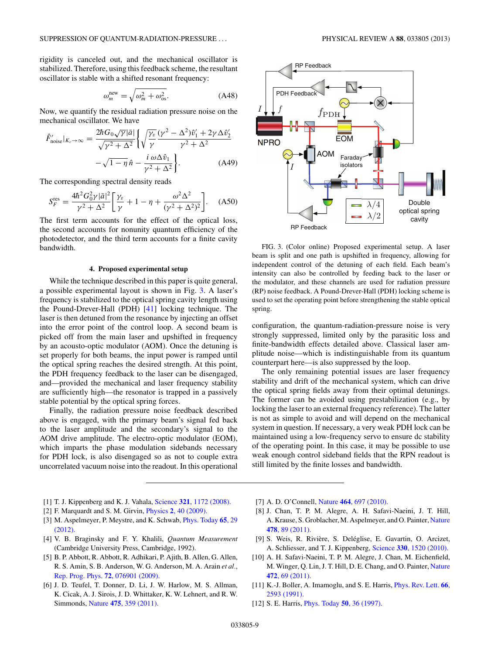<span id="page-10-0"></span>rigidity is canceled out, and the mechanical oscillator is stabilized. Therefore, using this feedback scheme, the resultant oscillator is stable with a shifted resonant frequency:

$$
\omega_m^{\text{new}} = \sqrt{\omega_m^2 + \omega_{\text{os}}^2}.
$$
 (A48)

Now, we quantify the residual radiation pressure noise on the mechanical oscillator. We have

$$
\hat{F}_{\text{noise}}'|_{K_c \to \infty} = \frac{2\hbar G_0 \sqrt{\gamma} |\bar{a}|}{\sqrt{\gamma^2 + \Delta^2}} \left\{ \sqrt{\frac{\gamma_{\varepsilon}}{\gamma}} \frac{(\gamma^2 - \Delta^2) \hat{v}_1' + 2\gamma \Delta \hat{v}_2'}{\gamma^2 + \Delta^2} - \sqrt{1 - \eta} \hat{n} - \frac{i \omega \Delta \hat{v}_1}{\gamma^2 + \Delta^2} \right\}.
$$
\n(A49)

The corresponding spectral density reads

$$
S_F^{\text{res}} = \frac{4\hbar^2 G_0^2 \gamma |\bar{a}|^2}{\gamma^2 + \Delta^2} \left[ \frac{\gamma_{\varepsilon}}{\gamma} + 1 - \eta + \frac{\omega^2 \Delta^2}{(\gamma^2 + \Delta^2)^2} \right]. \tag{A50}
$$

The first term accounts for the effect of the optical loss, the second accounts for nonunity quantum efficiency of the photodetector, and the third term accounts for a finite cavity bandwidth.

#### **4. Proposed experimental setup**

While the technique described in this paper is quite general, a possible experimental layout is shown in Fig. 3. A laser's frequency is stabilized to the optical spring cavity length using the Pound-Drever-Hall (PDH) [\[41\]](#page-11-0) locking technique. The laser is then detuned from the resonance by injecting an offset into the error point of the control loop. A second beam is picked off from the main laser and upshifted in frequency by an acousto-optic modulator (AOM). Once the detuning is set properly for both beams, the input power is ramped until the optical spring reaches the desired strength. At this point, the PDH frequency feedback to the laser can be disengaged, and—provided the mechanical and laser frequency stability are sufficiently high—the resonator is trapped in a passively stable potential by the optical spring forces.

Finally, the radiation pressure noise feedback described above is engaged, with the primary beam's signal fed back to the laser amplitude and the secondary's signal to the AOM drive amplitude. The electro-optic modulator (EOM), which imparts the phase modulation sidebands necessary for PDH lock, is also disengaged so as not to couple extra uncorrelated vacuum noise into the readout. In this operational



FIG. 3. (Color online) Proposed experimental setup. A laser beam is split and one path is upshifted in frequency, allowing for independent control of the detuning of each field. Each beam's intensity can also be controlled by feeding back to the laser or the modulator, and these channels are used for radiation pressure (RP) noise feedback. A Pound-Drever-Hall (PDH) locking scheme is used to set the operating point before strengthening the stable optical spring.

configuration, the quantum-radiation-pressure noise is very strongly suppressed, limited only by the parasitic loss and finite-bandwidth effects detailed above. Classical laser amplitude noise—which is indistinguishable from its quantum counterpart here—is also suppressed by the loop.

The only remaining potential issues are laser frequency stability and drift of the mechanical system, which can drive the optical spring fields away from their optimal detunings. The former can be avoided using prestabilization (e.g., by locking the laser to an external frequency reference). The latter is not as simple to avoid and will depend on the mechanical system in question. If necessary, a very weak PDH lock can be maintained using a low-frequency servo to ensure dc stability of the operating point. In this case, it may be possible to use weak enough control sideband fields that the RPN readout is still limited by the finite losses and bandwidth.

- [1] T. J. Kippenberg and K. J. Vahala, Science **321**[, 1172 \(2008\).](http://dx.doi.org/10.1126/science.1156032)
- [2] F. Marquardt and S. M. Girvin, Physics **2**[, 40 \(2009\).](http://dx.doi.org/10.1103/Physics.2.40)
- [3] M. Aspelmeyer, P. Meystre, and K. Schwab, [Phys. Today](http://dx.doi.org/10.1063/PT.3.1640) **65**, 29 [\(2012\).](http://dx.doi.org/10.1063/PT.3.1640)
- [4] V. B. Braginsky and F. Y. Khalili, *Quantum Measurement* (Cambridge University Press, Cambridge, 1992).
- [5] B. P. Abbott, R. Abbott, R. Adhikari, P. Ajith, B. Allen, G. Allen, R. S. Amin, S. B. Anderson, W. G. Anderson, M. A. Arain *et al.*, [Rep. Prog. Phys.](http://dx.doi.org/10.1088/0034-4885/72/7/076901) **72**, 076901 (2009).
- [6] J. D. Teufel, T. Donner, D. Li, J. W. Harlow, M. S. Allman, K. Cicak, A. J. Sirois, J. D. Whittaker, K. W. Lehnert, and R. W. Simmonds, Nature **475**[, 359 \(2011\).](http://dx.doi.org/10.1038/nature10261)
- [7] A. D. O'Connell, Nature **464**[, 697 \(2010\).](http://dx.doi.org/10.1038/nature08967)
- [8] J. Chan, T. P. M. Alegre, A. H. Safavi-Naeini, J. T. Hill, A. Krause, S. Groblacher, M. Aspelmeyer, and O. Painter, [Nature](http://dx.doi.org/10.1038/nature10461) **478**[, 89 \(2011\).](http://dx.doi.org/10.1038/nature10461)
- [9] S. Weis, R. Rivière, S. Deléglise, E. Gavartin, O. Arcizet, A. Schliesser, and T. J. Kippenberg, Science **330**[, 1520 \(2010\).](http://dx.doi.org/10.1126/science.1195596)
- [10] A. H. Safavi-Naeini, T. P. M. Alegre, J. Chan, M. Eichenfield, M. Winger, Q. Lin, J. T. Hill, D. E. Chang, and O. Painter, [Nature](http://dx.doi.org/10.1038/nature09933) **472**[, 69 \(2011\).](http://dx.doi.org/10.1038/nature09933)
- [11] K.-J. Boller, A. Imamoglu, and S. E. Harris, [Phys. Rev. Lett.](http://dx.doi.org/10.1103/PhysRevLett.66.2593) **66**, [2593 \(1991\).](http://dx.doi.org/10.1103/PhysRevLett.66.2593)
- [12] S. E. Harris, [Phys. Today](http://dx.doi.org/10.1063/1.881806) **50**, 36 (1997).